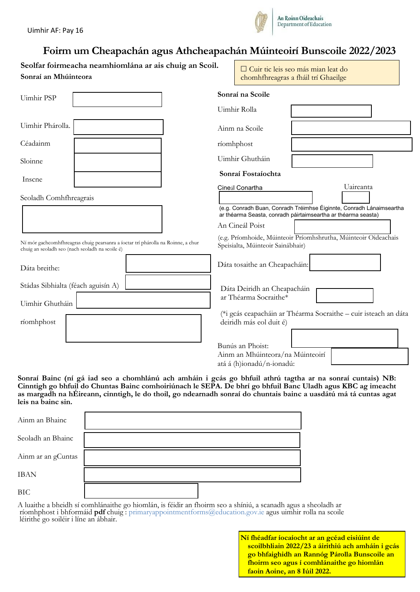☐ Cuir tic leis seo más mian leat do

## **Foirm um Cheapachán agus Athcheapachán Múinteoirí Bunscoile 2022/2023**

| Seolfar foirmeacha neamhiomlána ar ais chuig an Scoil. |  |  |
|--------------------------------------------------------|--|--|
| Sonraí an Mhúinteora                                   |  |  |

| Sonraí an Mhúinteora                                                                                                                | chomhfhreagras a fháil trí Ghaeilge                                                                                                                                   |
|-------------------------------------------------------------------------------------------------------------------------------------|-----------------------------------------------------------------------------------------------------------------------------------------------------------------------|
| Uimhir PSP                                                                                                                          | Sonraí na Scoile                                                                                                                                                      |
|                                                                                                                                     | Uimhir Rolla                                                                                                                                                          |
| Uimhir Phárolla.                                                                                                                    | Ainm na Scoile                                                                                                                                                        |
| Céadainm                                                                                                                            | ríomhphost                                                                                                                                                            |
| Sloinne                                                                                                                             | Uimhir Ghutháin                                                                                                                                                       |
| Inscne                                                                                                                              | Sonraí Fostaíochta                                                                                                                                                    |
| Seoladh Comhfhreagrais                                                                                                              | Uaireanta<br>Cineál Conartha<br>(e.g. Conradh Buan, Conradh Tréimhse Éiginnte, Conradh Lánaimseartha<br>ar théarma Seasta, conradh páirtaimseartha ar théarma seasta) |
|                                                                                                                                     | An Cineál Poist                                                                                                                                                       |
| Ní mór gachcomhfhreagras chuig pearsanra a íoctar trí phárolla na Roinne, a chur<br>chuig an seoladh seo (nach seoladh na scoile é) | (e.g. Príomhoide, Múinteoir Príomhshrutha, Múinteoir Oideachais<br>Speisialta, Múinteoir Sainábhair)                                                                  |
| Dáta breithe:                                                                                                                       | Dáta tosaithe an Cheapacháin:                                                                                                                                         |
| Stádas Sibhialta (féach aguisín A)<br>Uimhir Ghutháin                                                                               | Dáta Deiridh an Cheapacháin<br>ar Théarma Socraithe*                                                                                                                  |
| ríomhphost                                                                                                                          | (*i gcás ceapacháin ar Théarma Socraithe - cuir isteach an dáta<br>deiridh más eol duit é)                                                                            |
|                                                                                                                                     | Bunús an Phoist:                                                                                                                                                      |
|                                                                                                                                     | Ainm an Mhúinteora/na Múinteoirí<br>atá á (h)ionadú/n-ionadú:                                                                                                         |

**Sonraí Bainc (ní gá iad seo a chomhlánú ach amháin i gcás go bhfuil athrú tagtha ar na sonraí cuntais) NB: Cinntigh go bhfuil do Chuntas Bainc comhoiriúnach le SEPA. De bhrí go bhfuil Banc Uladh agus KBC ag imeacht as margadh na hÉireann, cinntigh, le do thoil, go ndearnadh sonraí do chuntais bainc a uasdátú má tá cuntas agat leis na bainc sin.**

| Ainm an Bhainc     |  |
|--------------------|--|
| Seoladh an Bhainc  |  |
| Ainm ar an gCuntas |  |
| <b>IBAN</b>        |  |
| <b>BIC</b>         |  |

[A luaithe a bheidh sí comhlánaithe go hiomlán, is féidir an fhoirm seo a shíniú, a scanadh agus a sheoladh ar](https://www.gov.ie/en/collection/efad5-payroll-services/)  [ríomhphost i bhformáid](https://www.gov.ie/en/collection/efad5-payroll-services/) **pdf** chuig : [primaryappointmentforms@education.gov.ie](mailto:primaryappointmentforms@education.gov.ie) agus uimhir rolla na scoile léirithe go soiléir i líne an ábhair.

> **Ní fhéadfar íocaíocht ar an gcéad eisiúint de scoilbhliain 2022/23 a áirithiú ach amháin i gcás go bhfaighidh an Rannóg Párolla Bunscoile an fhoirm seo agus í comhlánaithe go hiomlán faoin Aoine, an 8 Iúil 2022.**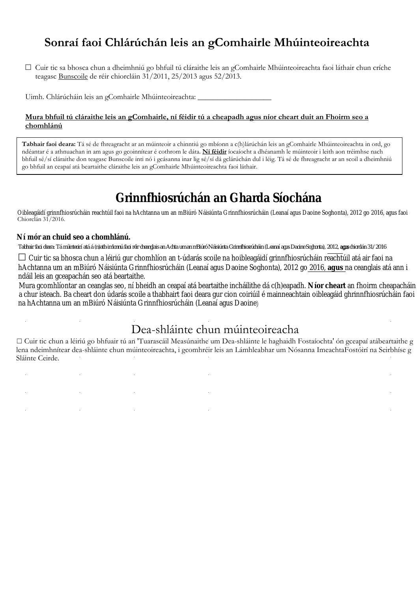# **Sonraí faoi Chlárúchán leis an gComhairle Mhúinteoireachta**

☐ Cuir tic sa bhosca chun a dheimhniú go bhfuil tú cláraithe leis an gComhairle Mhúinteoireachta faoi láthair chun críche teagasc Bunscoile de réir chiorcláin 31/2011, 25/2013 agus 52/2013.

Uimh. Chlárúcháin leis an gComhairle Mhúinteoireachta: \_

### **Mura bhfuil tú cláraithe leis an gComhairle, ní féidir tú a cheapadh agus níor cheart duit an Fhoirm seo a chomhlánú**

**Tabhair faoi deara:** Tá sé de fhreagracht ar an múinteoir a chinntiú go mbíonn a c(h)lárúchán leis an gComhairle Mhúinteoireachta in ord, go ndéantar é a athnuachan in am agus go gcoinnítear é cothrom le dáta. **Ní féidir** íocaíocht a dhéanamh le múinteoir i leith aon tréimhse nach bhfuil sé/sí cláraithe don teagasc Bunscoile inti nó i gcásanna inar lig sé/sí dá gclárúchán dul i léig. Tá sé de fhreagracht ar an scoil a dheimhniú go bhfuil an ceapaí atá beartaithe cláraithe leis an gComhairle Mhúinteoireachta faoi láthair.

# **Grinnfhiosrúchán an Gharda Síochána**

Oibleagáidí grinnfhiosrúcháin reachtúil faoi na hAchtanna um an mBiúró Náisiúnta Grinnfhiosrúcháin (Leanaí agus Daoine Soghonta), 2012 go 2016, agus faoi Chiorclán 31/2016.

### **Ní mór an chuid seo a chomhlánú.**

Tabhair faoi deara: Tá múinteoirí atá á (n)ath-imlonnú faoi réir cheanglais an Achta um an mBiúró Náisiúnta *Grinnfhiosrúcháin (Leanaí agus Daoine Soghonta*), 2012, **agus** chiorclán 31/2016

 $\Box$  Cuir tic sa bhosca chun a léiriú gur chomhlíon an t-údarás scoile na hoibleagáidí grinnfhiosrúcháin reachtúil atá air faoi na hAchtanna um an mBiúró Náisiúnta Grinnfhiosrúcháin (Leanaí agus Daoine Soghonta), 2012 go 2016, **agus** na ceanglais atá ann i ndáil leis an gceapachán seo atá beartaithe.

Mura gcomhlíontar an ceanglas seo, ní bheidh an ceapaí atá beartaithe incháilithe dá c(h)eapadh. **Níor cheart** an fhoirm cheapacháin a chur isteach. Ba cheart don údarás scoile a thabhairt faoi deara gur cion coiriúil é mainneachtain oibleagáid ghrinnfhiosrúcháin faoi na hAchtanna um an mBiúró Náisiúnta Grinnfhiosrúcháin (Leanaí agus Daoine)

# Dea-shláinte chun múinteoireacha

☐ Cuir tic chun a léiriú go bhfuair tú an 'Tuarascáil Measúnaithe um Dea-shláinte le haghaidh Fostaíochta' ón gceapaí atábeartaithe g lena ndeimhnítear dea-shláinte chun múinteoireachta, i gcomhréir leis an Lámhleabhar um Nósanna ImeachtaFostóirí na Seirbhíse g Sláinte Ceirde.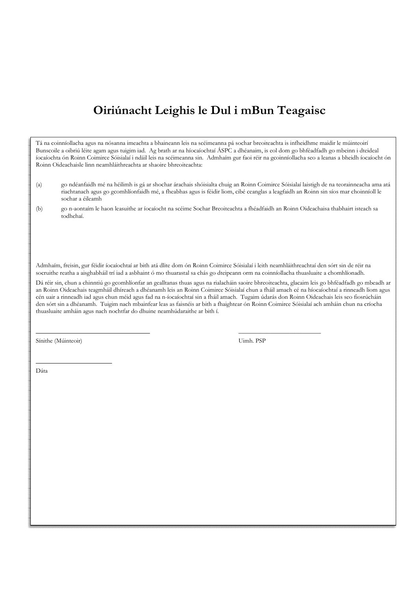# **Oiriúnacht Leighis le Dul i mBun Teagaisc**

Tá na coinníollacha agus na nósanna imeachta a bhaineann leis na scéimeanna pá sochar breoiteachta is infheidhme maidir le múinteoirí Bunscoile a oibriú léite agam agus tuigim iad. Ag brath ar na híocaíochtaí ÁSPC a dhéanaim, is eol dom go bhféadfadh go mbeinn i dteideal íocaíochta ón Roinn Coimirce Sóisialaí i ndáil leis na scéimeanna sin. Admhaím gur faoi réir na gcoinníollacha seo a leanas a bheidh íocaíocht ón Roinn Oideachaisle linn neamhláithreachta ar shaoire bhreoiteachta:

- (a) go ndéanfaidh mé na héilimh is gá ar shochar árachais shóisialta chuig an Roinn Coimirce Sóisialaí laistigh de na teorainneacha ama atá riachtanach agus go gcomhlíonfaidh mé, a fheabhas agus is féidir liom, cibé ceanglas a leagfaidh an Roinn sin síos mar choinníoll le sochar a éileamh
- (b) go n-aontaím le haon leasuithe ar íocaíocht na scéime Sochar Breoiteachta a fhéadfaidh an Roinn Oideachaisa thabhairt isteach sa todhchaí.

Admhaím, freisin, gur féidir íocaíochtaí ar bith atá dlite dom ón Roinn Coimirce Sóisialaí i leith neamhláithreachtaí den sórt sin de réir na socruithe reatha a aisghabháil trí iad a asbhaint ó mo thuarastal sa chás go dteipeann orm na coinníollacha thuasluaite a chomhlíonadh.

\_\_\_\_\_\_\_\_\_\_\_\_\_\_\_\_\_\_\_\_\_\_\_\_\_\_\_\_\_\_\_\_\_\_\_\_ \_\_\_\_\_\_\_\_\_\_\_\_\_\_\_\_\_\_\_\_\_\_\_\_\_\_

Dá réir sin, chun a chinntiú go gcomhlíonfar an gealltanas thuas agus na rialacháin saoire bhreoiteachta, glacaim leis go bhféadfadh go mbeadh ar an Roinn Oideachais teagmháil dhíreach a dhéanamh leis an Roinn Coimirce Sóisialaí chun a fháil amach cé na híocaíochtaí a rinneadh liom agus cén uair a rinneadh iad agus chun méid agus fad na n-íocaíochtaí sin a fháil amach. Tugaim údarás don Roinn Oideachais leis seo fiosrúcháin den sórt sin a dhéanamh. Tuigim nach mbainfear leas as faisnéis ar bith a fhaightear ón Roinn Coimirce Sóisialaí ach amháin chun na críocha thuasluaite amháin agus nach nochtfar do dhuine neamhúdaraithe ar bith í.

Sínithe (Múinteoir) Uimh. PSP

\_\_\_\_\_\_\_\_\_\_\_\_\_\_\_\_\_\_\_\_\_\_\_\_

Dáta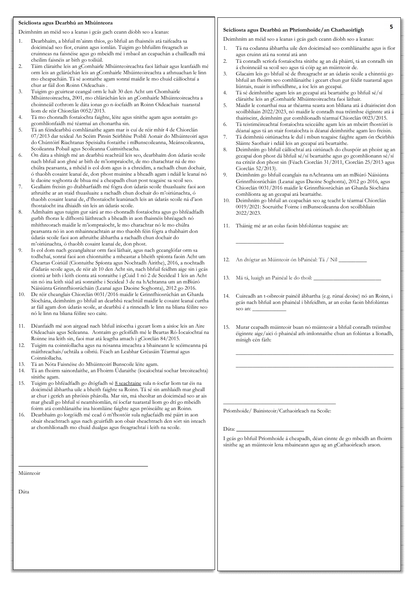#### **Seicliosta agus Dearbhú an Mhúinteora**

Deimhním an méid seo a leanas i gcás gach ceann díobh seo a leanas:

- 1. Dearbhaím, a bhfuil m'ainm thíos, go bhfuil an fhaisnéis atá taifeadta sa doiciméad seo fíor, cruinn agus iomlán. Tuigim go bhfuilim freagrach as cruinneas na faisnéise agus go mbeidh mé i mbaol an ceapachán a chailleadh má cheilim faisnéis ar bith go toiliúil.
- 2. Táim cláraithe leis an gComhairle Mhúinteoireachta faoi láthair agus leanfaidh mé orm leis an gclárúchán leis an gComhairle Mhúinteoireachta a athnuachan le linn mo cheapacháin. Tá sé aontaithe agam sonraí maidir le mo chuid cáilíochtaí a chur ar fáil don Roinn Oideachais .
- 3. Tuigim go gcuirtear ceangal orm le halt 30 den Acht um Chomhairle Mhúinteoireachta, 2001, mo chlárúchán leis an gComhairle Mhúinteoireachta a choinneáil cothrom le dáta ionas go n-íocfaidh an Roinn Oideachais tuarastal liom de réir Chiorclán 0052/2013.
- 4. Tá mo chonradh fostaíochta faighte, léite agus sínithe agam agus aontaím go gcomhlíonfaidh mé téarmaí an chonartha sin.
- 5. Tá an féindearbhú comhlánaithe agam mar is cuí de réir mhír 4 de Chiorclán 07/2013 dar teideal An Scéim Pinsin Seirbhíse Poiblí Aonair do Mhúinteoirí agus do Chúntóirí Riachtanas Speisialta fostaithe i mBunscoileanna, Meánscoileanna, Scoileanna Pobail agus Scoileanna Cuimsitheacha.
- 6. Ón dáta a shínigh mé an dearbhú reachtúil leis seo, dearbhaím don údarás scoile nach bhfuil aon ghné ar bith de m'iompraíocht, de mo charachtar ná de mo chúlra pearsanta, a mhéid is eol dom agus is a chreidim, a rachadh chun dochair, ó thaobh cosaint leanaí de, don phost muiníne a bheadh agam i ndáil le leanaí nó le daoine soghonta de bhua mé a cheapadh chun post teagaisc sa scoil seo.
- 7. Geallaim freisin go dtabharfaidh mé fógra don údarás scoile thuasluaite faoi aon athruithe ar an staid thuasluaite a rachadh chun dochair do m'oiriúnachta, ó thaobh cosaint leanaí de, d'fhostaíocht leanúnach leis an údarás scoile ná d'aon fhostaíocht ina dhiaidh sin leis an údarás scoile.
- 8. Admhaím agus tuigim gur sárú ar mo chonradh fostaíochta agus go bhféadfadh gurbh fhoras le dífhostú láithreach a bheadh in aon fhaisnéis bhréagach nó mhíthreorach maidir le m'iompraíocht, le mo charachtar nó le mo chúlra pearsanta nó in aon mhainneachtain ar mo thaobh féin fógra a thabhairt don údarás scoile faoi aon athruithe ábhartha a rachadh chun dochair do m'oiriúnachta, ó thaobh cosaint leanaí de, don phost.
- 9. Is eol dom nach gceanglaítear orm faoi láthair, agus nach gceanglófar orm sa todhchaí, sonraí faoi aon chiontuithe a mheastar a bheith spíonta faoin Acht um Cheartas Coiriúil (Ciontuithe Spíonta agus Nochtadh Áirithe), 2016, a nochtadh d'údarás scoile agus, de réir alt 10 den Acht sin, nach bhfuil feidhm aige sin i gcás ciontú ar bith i leith cionta atá sonraithe i gCuid 1 nó 2 de Sceideal 1 leis an Acht sin nó ina leith siúd atá sonraithe i Sceideal 3 de na hAchtanna um an mBiúró Náisiúnta Grinnfhiosrúcháin (Leanaí agus Daoine Soghonta), 2012 go 2016.
- 10. De réir cheanglais Chiorclán 0031/2016 maidir le Grinnfhiosrúchán an Gharda Síochána, deimhním go bhfuil an dearbhú reachtúil maidir le cosaint leanaí curtha ar fáil agam don údarás scoile, ar dearbhú é a rinneadh le linn na bliana féilire seo nó le linn na bliana féilire seo caite.
- 11. Déanfaidh mé aon airgead nach bhfuil iníoctha i gceart liom a aisíoc leis an Aire Oideachais agus Scileanna. Aontaím go gcloífidh mé le Beartas Ró-Íocaíochtaí na Roinne ina leith sin, faoi mar atá leagtha amach i gCiorclán 84/2015.
- 12. Tuigim na coinníollacha agus na nósanna imeachta a bhaineann le scéimeanna pá máithreachais/uchtála a oibriú. Féach an Leabhar Gréasáin Téarmaí agus Coinníollacha.
- 13. Tá an Nóta Faisnéise do Mhúinteoirí Bunscoile léite agam.

 $\overline{\phantom{a}}$  ,  $\overline{\phantom{a}}$  ,  $\overline{\phantom{a}}$  ,  $\overline{\phantom{a}}$  ,  $\overline{\phantom{a}}$  ,  $\overline{\phantom{a}}$  ,  $\overline{\phantom{a}}$  ,  $\overline{\phantom{a}}$  ,  $\overline{\phantom{a}}$  ,  $\overline{\phantom{a}}$  ,  $\overline{\phantom{a}}$  ,  $\overline{\phantom{a}}$  ,  $\overline{\phantom{a}}$  ,  $\overline{\phantom{a}}$  ,  $\overline{\phantom{a}}$  ,  $\overline{\phantom{a}}$ 

- 14. Tá an fhoirm sainordaithe, an Fhoirm Údaraithe (íocaíochtaí sochar breoiteachta) sínithe agam.
- 15. Tuigim go bhféadfadh go dtógfadh sé 8 seachtaine sula n-íocfar liom tar éis na doiciméid ábhartha uile a bheith faighte sa Roinn. Tá sé sin amhlaidh mar gheall ar chur i gcrích an phróisis phárolla. Mar sin, má sheoltar an doiciméad seo ar ais mar gheall go bhfuil sí neamhiomlán, ní íocfar tuarastal liom go dtí go mbeidh foirm atá comhlánaithe ina hiomláine faighte agus próiseáilte ag an Roinn.
- 16. Dearbhaím go lorgóidh mé cead ó m'fhostóir sula nglacfaidh mé páirt in aon obair sheachtrach agus nach gcuirfidh aon obair sheachtrach den sórt sin isteach ar chomhlíonadh mo chuid dualgas agus freagrachtaí i leith na scoile.

#### Múinteoir

Dáta

#### **Seicliosta agus Dearbhú an Phríomhoide/an Chathaoirligh**

Deimhním an méid seo a leanas i gcás gach ceann díobh seo a leanas:

- 1. Tá na codanna ábhartha uile den doiciméad seo comhlánaithe agus is fíor agus cruinn atá na sonraí atá ann
- 2. Tá conradh scríofa fostaíochta sínithe ag an dá pháirtí, tá an conradh sin á choinneáil sa scoil seo agus tá cóip ag an múinteoir de.
- 3. Glacaim leis go bhfuil sé de fhreagracht ar an údarás scoile a chinntiú go bhfuil an fhoirm seo comhlánaithe i gceart chun gur féidir tuarastal agus liúntais, nuair is infheidhme, a íoc leis an gceapaí.
- 4. Tá sé deimhnithe agam leis an gceapaí atá beartaithe go bhfuil sé/sí cláraithe leis an gComhairle Mhúinteoireachta faoi láthair.
- 5. Maidir le conarthaí nua ar théarma seasta aon bhliana atá á dtairiscint don scoilbhliain 2022/2023, nó maidir le conradh nua tréimhse éiginnte atá á thairiscint, deimhním gur comhlíonadh téarmaí Chiorclán 0023/2015.
- 6. Tá teistiméireachtaí fostaíochta seiceáilte agam leis an mbeirt fhostóirí is déanaí agus tá an stair fostaíochta is déanaí deimhnithe agam leo freisin.
- 7. Tá deimhniú oiriúnachta le dul i mbun teagaisc faighte agam ón tSeirbhís Sláinte Saothair i ndáil leis an gceapaí atá beartaithe.
- 8. Deimhním go bhfuil cáilíochtaí atá oiriúnach do chuspóir an phoist ag an gceapaí don phost dá bhfuil sé/sí beartaithe agus go gcomhlíonann sé/sí na critéir don phost sin (Féach Ciorclán 31/2011, Ciorclán 25/2013 agus Ciorclán 52/2013).
- 9. Deimhním go bhfuil ceanglais na nAchtanna um an mBiúró Náisiúnta Grinnfhiosrúcháin (Leanaí agus Daoine Soghonta), 2012 go 2016, agus Chiorclán 0031/2016 maidir le Grinnfhiosrúchán an Gharda Síochána comhlíonta ag an gceapaí atá beartaithe.
- 10. Deimhním go bhfuil an ceapachán seo ag teacht le téarmaí Chiorclán 0019/2021: Socruithe Foirne i mBunscoileanna don scoilbhliain 2022/2023.
- 11. Tháinig mé ar an eolas faoin bhfolúntas teagaisc an:
- 12. An dtógtar an Múinteoir ón bPainéal: Tá / Níl **\_\_\_\_\_\_\_\_\_\_**
- 13. Má tá, luaigh an Painéal le do thoil: **\_\_\_\_\_\_\_\_\_\_\_\_\_\_\_\_\_\_\_\_\_\_\_\_**

**\_\_\_\_\_\_\_\_\_\_\_\_\_\_\_\_\_**

- 14. Cuireadh an t-oibreoir painéil ábhartha (e.g. rúnaí deoise) nó an Roinn, i gcás nach bhfuil aon phainéal i bhfeidhm, ar an eolas faoin bhfolúntas seo an: **\_\_\_\_\_\_\_\_\_\_\_\_**
- 15. Murar ceapadh múinteoir buan nó múinteoir a bhfuil conradh tréimhse éiginnte aige/aici ó phainéal ath-imlonnaithe chun an folúntas a líonadh, mínigh cén fáth:

\_\_\_\_\_\_\_\_\_\_\_\_\_\_\_\_\_\_\_\_\_\_\_\_\_\_\_\_\_\_\_\_\_\_\_\_\_\_\_\_\_\_\_\_\_\_\_\_\_\_\_\_\_\_\_\_ \_\_\_\_\_\_\_\_\_\_\_\_\_\_\_\_\_\_\_\_\_\_\_\_\_\_\_\_\_\_\_\_\_\_\_\_\_\_\_\_\_\_\_\_\_\_\_\_\_\_\_\_\_\_\_\_

\_\_\_\_\_\_\_\_\_\_\_\_\_\_\_\_\_\_\_\_\_\_\_\_\_\_\_\_\_\_\_\_\_\_\_\_\_\_\_\_ Príomhoide/ Bainisteoir/Cathaoirleach na Scoile:

Dáta:

I gcás go bhfuil Príomhoide á cheapadh, déan cinnte de go mbeidh an fhoirm sínithe ag an múinteoir lena mbaineann agus ag an gCathaoirleach araon.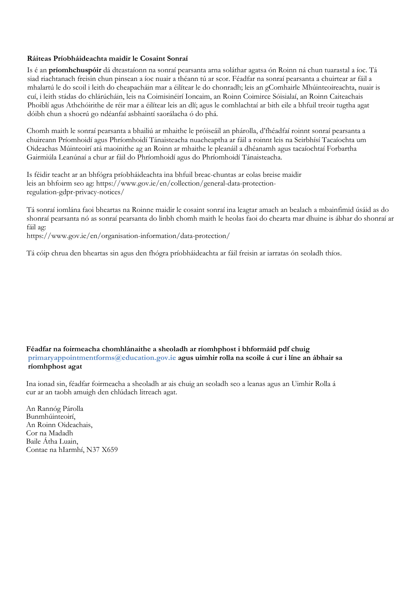### **Ráiteas Príobháideachta maidir le Cosaint Sonraí**

Is é an **príomhchuspóir** dá dteastaíonn na sonraí pearsanta arna soláthar agatsa ón Roinn ná chun tuarastal a íoc. Tá siad riachtanach freisin chun pinsean a íoc nuair a théann tú ar scor. Féadfar na sonraí pearsanta a chuirtear ar fáil a mhalartú le do scoil i leith do cheapacháin mar a éilítear le do chonradh; leis an gComhairle Mhúinteoireachta, nuair is cuí, i leith stádas do chlárúcháin, leis na Coimisinéirí Ioncaim, an Roinn Coimirce Sóisialaí, an Roinn Caiteachais Phoiblí agus Athchóirithe de réir mar a éilítear leis an dlí; agus le comhlachtaí ar bith eile a bhfuil treoir tugtha agat dóibh chun a shocrú go ndéanfaí asbhaintí saorálacha ó do phá.

Chomh maith le sonraí pearsanta a bhailiú ar mhaithe le próiseáil an phárolla, d'fhéadfaí roinnt sonraí pearsanta a chuireann Príomhoidí agus Phríomhoidí Tánaisteacha nuacheaptha ar fáil a roinnt leis na Seirbhísí Tacaíochta um Oideachas Múinteoirí atá maoinithe ag an Roinn ar mhaithe le pleanáil a dhéanamh agus tacaíochtaí Forbartha Gairmiúla Leanúnaí a chur ar fáil do Phríomhoidí agus do Phríomhoidí Tánaisteacha.

Is féidir teacht ar an bhfógra príobháideachta ina bhfuil breac-chuntas ar eolas breise maidir leis an bhfoirm seo ag: [https://www.gov.ie/en/collection/general-data-protection](http://www.gov.ie/en/collection/general-data-protection-regulation-gdpr-privacy-notices/)[regulation-gdpr-privacy-notices/](http://www.gov.ie/en/collection/general-data-protection-regulation-gdpr-privacy-notices/)

Tá sonraí iomlána faoi bheartas na Roinne maidir le cosaint sonraí ina leagtar amach an bealach a mbainfimid úsáid as do shonraí pearsanta nó as sonraí pearsanta do linbh chomh maith le heolas faoi do chearta mar dhuine is ábhar do shonraí ar fáil ag:

[https://www.gov.ie/en/organisation-information/data-protection/](http://www.gov.ie/en/organisation-information/data-protection/)

Tá cóip chrua den bheartas sin agus den fhógra príobháideachta ar fáil freisin ar iarratas ón seoladh thíos.

### **Féadfar na foirmeacha chomhlánaithe a sheoladh ar ríomhphost i bhformáid pdf chuig [primaryappointmentforms@education.gov.ie](mailto:primaryappointmentforms@education.gov.ie) agus uimhir rolla na scoile á cur i líne an ábhair sa ríomhphost agat**

Ina ionad sin, féadfar foirmeacha a sheoladh ar ais chuig an seoladh seo a leanas agus an Uimhir Rolla á cur ar an taobh amuigh den chlúdach litreach agat.

An Rannóg Párolla Bunmhúinteoirí, An Roinn Oideachais, Cor na Madadh Baile Átha Luain, Contae na hIarmhí, N37 X659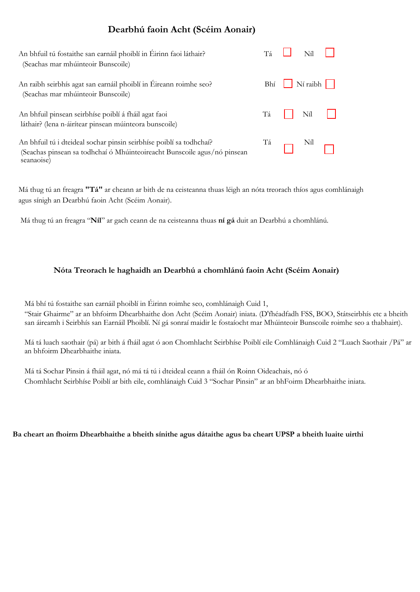## **Dearbhú faoin Acht (Scéim Aonair)**

| An bhfuil tú fostaithe san earnáil phoiblí in Éirinn faoi láthair?<br>(Seachas mar mhúinteoir Bunscoile)                                                      | Tá |                            | Níl                       |  |
|---------------------------------------------------------------------------------------------------------------------------------------------------------------|----|----------------------------|---------------------------|--|
| An raibh seirbhís agat san earnáil phoiblí in Éireann roimhe seo?<br>(Seachas mar mhúinteoir Bunscoile)                                                       |    | Bhí $\Box$ Ní raibh $\Box$ |                           |  |
| An bhfuil pinsean seirbhíse poiblí á fháil agat faoi<br>láthair? (lena n-áirítear pinsean múinteora bunscoile)                                                | Tá | $\mathbf{1}$               | $\mathbf{N}$ $\mathbf{1}$ |  |
| An bhfuil tú i dteideal sochar pinsin seirbhíse poiblí sa todhchaí?<br>(Seachas pinsean sa todhchaí ó Mhúinteoireacht Bunscoile agus/nó pinsean<br>seanaoise) |    | $T\acute{a}$ Níl $\Box$    |                           |  |

Má thug tú an freagra **"Tá"** ar cheann ar bith de na ceisteanna thuas léigh an nóta treorach thíos agus comhlánaigh agus sínigh an Dearbhú faoin Acht (Scéim Aonair).

Má thug tú an freagra "**Níl**" ar gach ceann de na ceisteanna thuas **ní gá** duit an Dearbhú a chomhlánú.

## **Nóta Treorach le haghaidh an Dearbhú a chomhlánú faoin Acht (Scéim Aonair)**

Má bhí tú fostaithe san earnáil phoiblí in Éirinn roimhe seo, comhlánaigh Cuid 1, "Stair Ghairme" ar an bhfoirm Dhearbhaithe don Acht (Scéim Aonair) iniata. (D'fhéadfadh FSS, BOO, Státseirbhís etc a bheith san áireamh i Seirbhís san Earnáil Phoiblí. Ní gá sonraí maidir le fostaíocht mar Mhúinteoir Bunscoile roimhe seo a thabhairt).

Má tá luach saothair (pá) ar bith á fháil agat ó aon Chomhlacht Seirbhíse Poiblí eile Comhlánaigh Cuid 2 "Luach Saothair /Pá" ar an bhfoirm Dhearbhaithe iniata.

Má tá Sochar Pinsin á fháil agat, nó má tá tú i dteideal ceann a fháil ón Roinn Oideachais, nó ó Chomhlacht Seirbhíse Poiblí ar bith eile, comhlánaigh Cuid 3 "Sochar Pinsin" ar an bhFoirm Dhearbhaithe iniata.

**Ba cheart an fhoirm Dhearbhaithe a bheith sínithe agus dátaithe agus ba cheart UPSP a bheith luaite uirthi**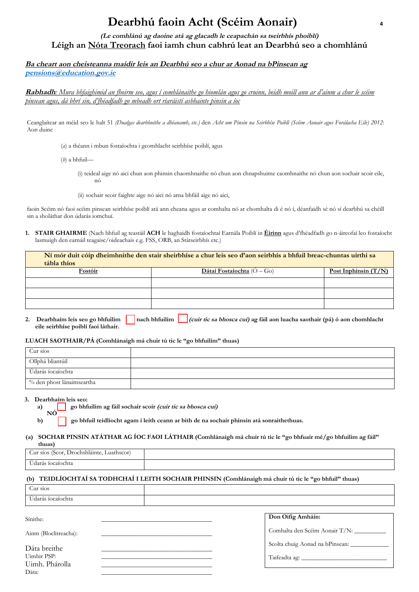# **Dearbhú faoin Acht (Scéim Aonair) <sup>4</sup>**

## **(Le comhlánú ag daoine atá ag glacadh le ceapachán sa tseirbhís phoiblí) Léigh an Nóta Treorach faoi iamh chun cabhrú leat an Dearbhú seo a chomhlánú**

**Ba cheart aon cheisteanna maidir leis an Dearbhú seo a chur ar Aonad na bPinsean ag [pensions@education.gov.ie](mailto:pensions@education.gov.ie)**

**Rabhadh***: Mura bhfaighimid an fhoirm seo, agus í comhlánaithe go hiomlán agus go cruinn, beidh moill ann ar d'ainm a chur le scéim pinsean agus, dá bhrí sin, d'fhéadfadh go mbeadh ort riaráistí asbhainte pinsin a íoc* 

Ceanglaítear an méid seo le halt 51 *(Dualgas dearbhuithe a dhéanamh, etc.)* den *Acht um Pinsin na Seirbhíse Poiblí (Scéim Aonair agus Forálacha Eile) 2012*: Aon duine

- (*a*) a théann i mbun fostaíochta i gcomhlacht seirbhíse poiblí, agus
- (*b*) a bhfuil—
	- (i) teideal aige nó aici chun aon phinsin chaomhnaithe nó chun aon chnapshuime caomhnaithe nó chun aon sochair scoir eile, nó
	- (ii) sochair scoir faighte aige nó aici nó arna bhfáil aige nó aici,

faoin Scéim nó faoi scéim pinsean seirbhíse poiblí atá ann cheana agus ar comhalta nó ar chomhalta di é nó í, déanfaidh sé nó sí dearbhú sa chéill sin a sholáthar don údarás iomchuí.

**1. STAIR GHAIRME** (Nach bhfuil ag teastáil **ACH** le haghaidh fostaíochtaí Earnála Poiblí in **Éirinn** agus d'fhéadfadh go n-áireofaí leo fostaíocht lasmuigh den earnáil teagaisc/oideachais e.g. FSS, ORB, an Státseirbhís etc.)

| tábla thíos | Ní mór duit cóip dheimhnithe den stair sheirbhíse a chur leis seo d'aon seirbhís a bhfuil breac-chuntas uirthi sa |                        |
|-------------|-------------------------------------------------------------------------------------------------------------------|------------------------|
| Fostóir     | Dátaí Fostaíochta ( $\dot{O} - \dot{Go}$ )                                                                        | Post Inphinsin $(T/N)$ |
|             |                                                                                                                   |                        |
|             |                                                                                                                   |                        |
|             |                                                                                                                   |                        |

**2. Dearbhaím leis seo go bhfuilim nach bhfuilim (cuir tic sa bhosca cuí) ag fáil aon luacha saothair (pá) ó aon chomhlacht eile seirbhíse poiblí faoi láthair.**

### **LUACH SAOTHAIR/PÁ (Comhlánaigh má chuir tú tic le "go bhfuilim" thuas)**

| Cur síos                  |  |
|---------------------------|--|
| Ollphá bliantúil          |  |
| Údarás íocaíochta         |  |
| % den phost lánaimseartha |  |

### **3. Dearbhaím leis seo:**

**a) go bhfuilim ag fáil sochair scoir (cuir tic sa bhosca cuí)**  $\dot{M}$ 

**b) c go bhfuil teidlíocht agam i leith ceann ar bith de na sochair phinsin atá sonraithethuas.** 

#### (a) SOCHAR PINSIN ATÁTHAR AG ÍOC FAOI LÁTHAIR (Comhlánaigh má chuir tú tic le "go bhfuair mé/go bhfuilim ag fáil" **thuas)**

| .<br>, Drochshláinte, Luathscor)<br>Cur sios (Scor, |  |
|-----------------------------------------------------|--|
| ` 10ca10chta                                        |  |

### **(b) TEIDLÍOCHTAÍ SA TODHCHAÍ I LEITH SOCHAIR PHINSIN (Comhlánaigh má chuir tú tic le "go bhfuil" thuas)**

| Cur sios          |
|-------------------|
| Udarás íocaíochta |

| Sínithe:              | Don Oifig Amháin:              |
|-----------------------|--------------------------------|
| Ainm (Bloclitreacha): | Comhalta den Scéim Aonair T/N: |
| Dáta breithe          |                                |
| Uimhir PSP:           |                                |
| Uimh. Phárolla        |                                |
| Dáta:                 |                                |